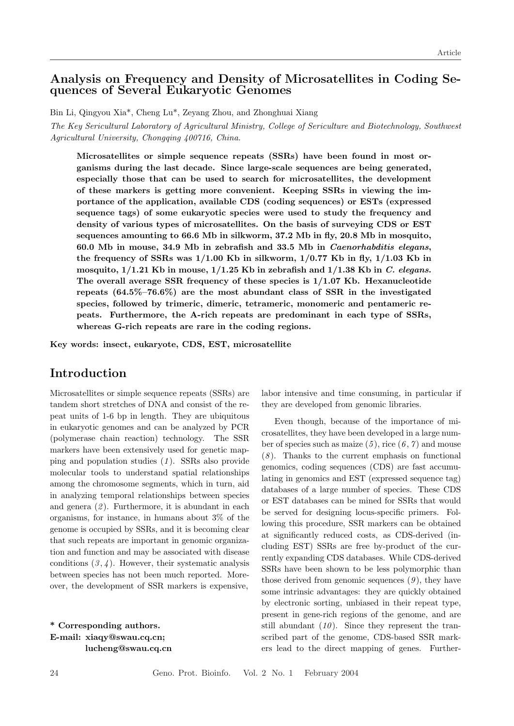## Analysis on Frequency and Density of Microsatellites in Coding Sequences of Several Eukaryotic Genomes

Bin Li, Qingyou Xia\*, Cheng Lu\*, Zeyang Zhou, and Zhonghuai Xiang

The Key Sericultural Laboratory of Agricultural Ministry, College of Sericulture and Biotechnology, Southwest Agricultural University, Chongqing 400716, China.

Microsatellites or simple sequence repeats (SSRs) have been found in most organisms during the last decade. Since large-scale sequences are being generated, especially those that can be used to search for microsatellites, the development of these markers is getting more convenient. Keeping SSRs in viewing the importance of the application, available CDS (coding sequences) or ESTs (expressed sequence tags) of some eukaryotic species were used to study the frequency and density of various types of microsatellites. On the basis of surveying CDS or EST sequences amounting to 66.6 Mb in silkworm, 37.2 Mb in fly, 20.8 Mb in mosquito, 60.0 Mb in mouse, 34.9 Mb in zebrafish and 33.5 Mb in Caenorhabditis elegans, the frequency of SSRs was  $1/1.00$  Kb in silkworm,  $1/0.77$  Kb in fly,  $1/1.03$  Kb in mosquito,  $1/1.21$  Kb in mouse,  $1/1.25$  Kb in zebrafish and  $1/1.38$  Kb in C. elegans. The overall average SSR frequency of these species is  $1/1.07$  Kb. Hexanucleotide repeats (64.5%–76.6%) are the most abundant class of SSR in the investigated species, followed by trimeric, dimeric, tetrameric, monomeric and pentameric repeats. Furthermore, the A-rich repeats are predominant in each type of SSRs, whereas G-rich repeats are rare in the coding regions.

Key words: insect, eukaryote, CDS, EST, microsatellite

# Introduction

Microsatellites or simple sequence repeats (SSRs) are tandem short stretches of DNA and consist of the repeat units of 1-6 bp in length. They are ubiquitous in eukaryotic genomes and can be analyzed by PCR (polymerase chain reaction) technology. The SSR markers have been extensively used for genetic mapping and population studies  $(1)$ . SSRs also provide molecular tools to understand spatial relationships among the chromosome segments, which in turn, aid in analyzing temporal relationships between species and genera  $(2)$ . Furthermore, it is abundant in each organisms, for instance, in humans about 3% of the genome is occupied by SSRs, and it is becoming clear that such repeats are important in genomic organization and function and may be associated with disease conditions  $(3, 4)$ . However, their systematic analysis between species has not been much reported. Moreover, the development of SSR markers is expensive,

\* Corresponding authors. E-mail: xiaqy@swau.cq.cn; lucheng@swau.cq.cn labor intensive and time consuming, in particular if they are developed from genomic libraries.

Even though, because of the importance of microsatellites, they have been developed in a large number of species such as maize  $(5)$ , rice  $(6, 7)$  and mouse  $(8)$ . Thanks to the current emphasis on functional genomics, coding sequences (CDS) are fast accumulating in genomics and EST (expressed sequence tag) databases of a large number of species. These CDS or EST databases can be mined for SSRs that would be served for designing locus-specific primers. Following this procedure, SSR markers can be obtained at significantly reduced costs, as CDS-derived (including EST) SSRs are free by-product of the currently expanding CDS databases. While CDS-derived SSRs have been shown to be less polymorphic than those derived from genomic sequences  $(9)$ , they have some intrinsic advantages: they are quickly obtained by electronic sorting, unbiased in their repeat type, present in gene-rich regions of the genome, and are still abundant  $(10)$ . Since they represent the transcribed part of the genome, CDS-based SSR markers lead to the direct mapping of genes. Further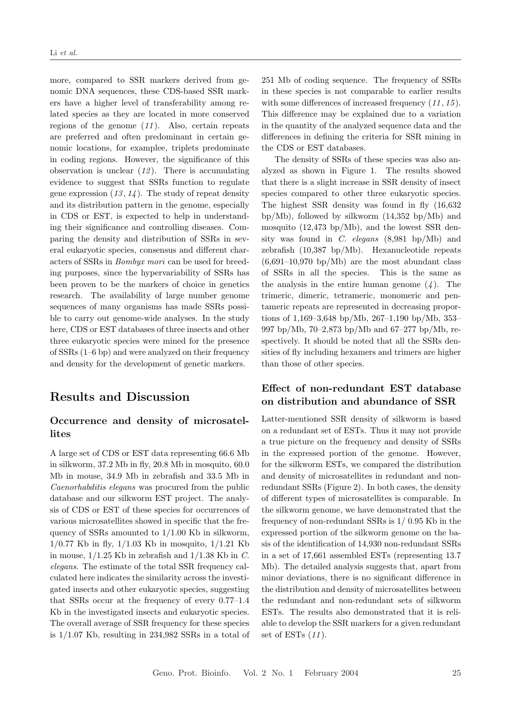more, compared to SSR markers derived from genomic DNA sequences, these CDS-based SSR markers have a higher level of transferability among related species as they are located in more conserved regions of the genome  $(11)$ . Also, certain repeats are preferred and often predominant in certain genomic locations, for examplee, triplets predominate in coding regions. However, the significance of this observation is unclear  $(12)$ . There is accumulating evidence to suggest that SSRs function to regulate gene expression  $(13, 14)$ . The study of repeat density and its distribution pattern in the genome, especially in CDS or EST, is expected to help in understanding their significance and controlling diseases. Comparing the density and distribution of SSRs in several eukaryotic species, consensus and different characters of SSRs in Bombyx mori can be used for breeding purposes, since the hypervariability of SSRs has been proven to be the markers of choice in genetics research. The availability of large number genome sequences of many organisms has made SSRs possible to carry out genome-wide analyses. In the study here, CDS or EST databases of three insects and other three eukaryotic species were mined for the presence of SSRs (1–6 bp) and were analyzed on their frequency and density for the development of genetic markers.

## Results and Discussion

### Occurrence and density of microsatellites

A large set of CDS or EST data representing 66.6 Mb in silkworm, 37.2 Mb in fly, 20.8 Mb in mosquito, 60.0 Mb in mouse, 34.9 Mb in zebrafish and 33.5 Mb in Caenorhabditis elegans was procured from the public database and our silkworm EST project. The analysis of CDS or EST of these species for occurrences of various microsatellites showed in specific that the frequency of SSRs amounted to  $1/1.00$  Kb in silkworm,  $1/0.77$  Kb in fly,  $1/1.03$  Kb in mosquito,  $1/1.21$  Kb in mouse,  $1/1.25$  Kb in zebrafish and  $1/1.38$  Kb in C. elegans. The estimate of the total SSR frequency calculated here indicates the similarity across the investigated insects and other eukaryotic species, suggesting that SSRs occur at the frequency of every 0.77–1.4 Kb in the investigated insects and eukaryotic species. The overall average of SSR frequency for these species is 1/1.07 Kb, resulting in 234,982 SSRs in a total of 251 Mb of coding sequence. The frequency of SSRs in these species is not comparable to earlier results with some differences of increased frequency  $(11, 15)$ . This difference may be explained due to a variation in the quantity of the analyzed sequence data and the differences in defining the criteria for SSR mining in the CDS or EST databases.

The density of SSRs of these species was also analyzed as shown in Figure 1. The results showed that there is a slight increase in SSR density of insect species compared to other three eukaryotic species. The highest SSR density was found in fly (16,632 bp/Mb), followed by silkworm (14,352 bp/Mb) and mosquito (12,473 bp/Mb), and the lowest SSR density was found in C. elegans  $(8,981 \text{ bp/Mb})$  and zebrafish (10,387 bp/Mb). Hexanucleotide repeats  $(6.691-10.970 \text{ bp/Mb})$  are the most abundant class of SSRs in all the species. This is the same as the analysis in the entire human genome  $(4)$ . The trimeric, dimeric, tetrameric, monomeric and pentameric repeats are represented in decreasing proportions of 1,169–3,648 bp/Mb, 267–1,190 bp/Mb, 353– 997 bp/Mb, 70–2,873 bp/Mb and 67–277 bp/Mb, respectively. It should be noted that all the SSRs densities of fly including hexamers and trimers are higher than those of other species.

## Effect of non-redundant EST database on distribution and abundance of SSR

Latter-mentioned SSR density of silkworm is based on a redundant set of ESTs. Thus it may not provide a true picture on the frequency and density of SSRs in the expressed portion of the genome. However, for the silkworm ESTs, we compared the distribution and density of microsatellites in redundant and nonredundant SSRs (Figure 2). In both cases, the density of different types of microsatellites is comparable. In the silkworm genome, we have demonstrated that the frequency of non-redundant SSRs is 1/ 0.95 Kb in the expressed portion of the silkworm genome on the basis of the identification of 14,930 non-redundant SSRs in a set of 17,661 assembled ESTs (representing 13.7 Mb). The detailed analysis suggests that, apart from minor deviations, there is no significant difference in the distribution and density of microsatellites between the redundant and non-redundant sets of silkworm ESTs. The results also demonstrated that it is reliable to develop the SSR markers for a given redundant set of ESTs  $(11)$ .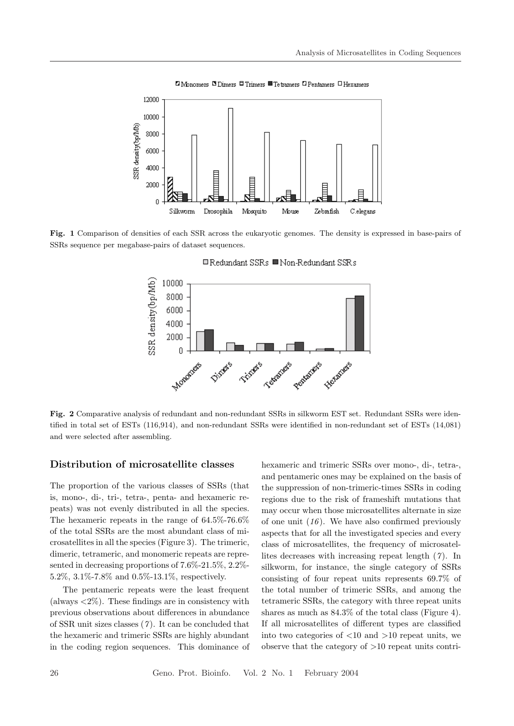

Fig. 1 Comparison of densities of each SSR across the eukaryotic genomes. The density is expressed in base-pairs of SSRs sequence per megabase-pairs of dataset sequences.



□ Redundant SSRs ■ Non-Redundant SSRs

Fig. 2 Comparative analysis of redundant and non-redundant SSRs in silkworm EST set. Redundant SSRs were identified in total set of ESTs (116,914), and non-redundant SSRs were identified in non-redundant set of ESTs (14,081) and were selected after assembling.

#### Distribution of microsatellite classes

The proportion of the various classes of SSRs (that is, mono-, di-, tri-, tetra-, penta- and hexameric repeats) was not evenly distributed in all the species. The hexameric repeats in the range of 64.5%-76.6% of the total SSRs are the most abundant class of microsatellites in all the species (Figure 3). The trimeric, dimeric, tetrameric, and monomeric repeats are represented in decreasing proportions of 7.6%-21.5%, 2.2%- 5.2%, 3.1%-7.8% and 0.5%-13.1%, respectively.

The pentameric repeats were the least frequent (always  $\langle 2\% \rangle$ ). These findings are in consistency with previous observations about differences in abundance of SSR unit sizes classes  $(7)$ . It can be concluded that the hexameric and trimeric SSRs are highly abundant in the coding region sequences. This dominance of hexameric and trimeric SSRs over mono-, di-, tetra-, and pentameric ones may be explained on the basis of the suppression of non-trimeric-times SSRs in coding regions due to the risk of frameshift mutations that may occur when those microsatellites alternate in size of one unit  $(16)$ . We have also confirmed previously aspects that for all the investigated species and every class of microsatellites, the frequency of microsatellites decreases with increasing repeat length  $(7)$ . In silkworm, for instance, the single category of SSRs consisting of four repeat units represents 69.7% of the total number of trimeric SSRs, and among the tetrameric SSRs, the category with three repeat units shares as much as 84.3% of the total class (Figure 4). If all microsatellites of different types are classified into two categories of  $\langle 10 \text{ and } 10 \text{ repeat units}$ , we observe that the category of  $>10$  repeat units contri-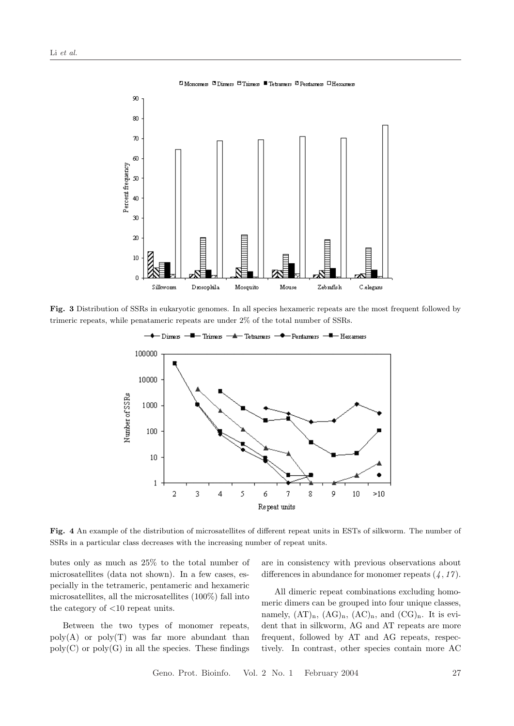

Fig. 3 Distribution of SSRs in eukaryotic genomes. In all species hexameric repeats are the most frequent followed by trimeric repeats, while penatameric repeats are under 2% of the total number of SSRs.



Fig. 4 An example of the distribution of microsatellites of different repeat units in ESTs of silkworm. The number of SSRs in a particular class decreases with the increasing number of repeat units.

butes only as much as 25% to the total number of microsatellites (data not shown). In a few cases, especially in the tetrameric, pentameric and hexameric microsatellites, all the microsatellites (100%) fall into the category of <10 repeat units.

Between the two types of monomer repeats,  $poly(A)$  or  $poly(T)$  was far more abundant than  $poly(C)$  or  $poly(G)$  in all the species. These findings are in consistency with previous observations about differences in abundance for monomer repeats  $(4, 17)$ .

All dimeric repeat combinations excluding homomeric dimers can be grouped into four unique classes, namely,  $(AT)_n$ ,  $(AG)_n$ ,  $(AC)_n$ , and  $(CG)_n$ . It is evident that in silkworm, AG and AT repeats are more frequent, followed by AT and AG repeats, respectively. In contrast, other species contain more AC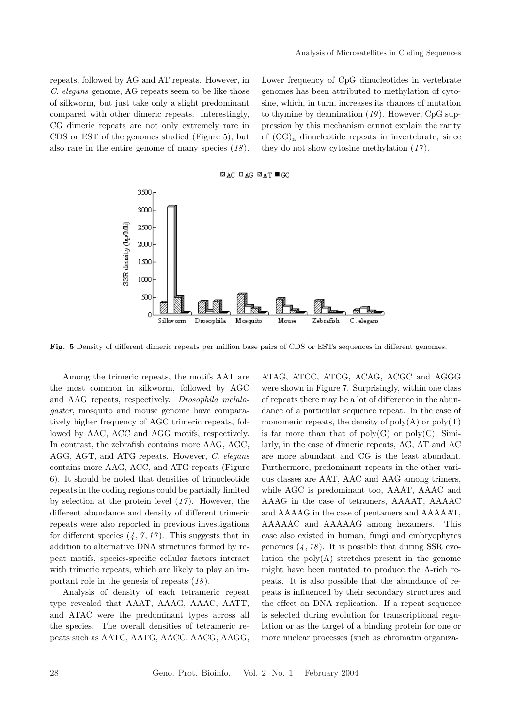repeats, followed by AG and AT repeats. However, in C. elegans genome, AG repeats seem to be like those of silkworm, but just take only a slight predominant compared with other dimeric repeats. Interestingly, CG dimeric repeats are not only extremely rare in CDS or EST of the genomes studied (Figure 5), but also rare in the entire genome of many species  $(18)$ .

Lower frequency of CpG dinucleotides in vertebrate genomes has been attributed to methylation of cytosine, which, in turn, increases its chances of mutation to thymine by deamination  $(19)$ . However, CpG suppression by this mechanism cannot explain the rarity of  $(CG)_n$  dinucleotide repeats in invertebrate, since they do not show cytosine methylation (17 ).



Fig. 5 Density of different dimeric repeats per million base pairs of CDS or ESTs sequences in different genomes.

Among the trimeric repeats, the motifs AAT are the most common in silkworm, followed by AGC and AAG repeats, respectively. Drosophila melalogaster, mosquito and mouse genome have comparatively higher frequency of AGC trimeric repeats, followed by AAC, ACC and AGG motifs, respectively. In contrast, the zebrafish contains more AAG, AGC, AGG, AGT, and ATG repeats. However, C. elegans contains more AAG, ACC, and ATG repeats (Figure 6). It should be noted that densities of trinucleotide repeats in the coding regions could be partially limited by selection at the protein level  $(17)$ . However, the different abundance and density of different trimeric repeats were also reported in previous investigations for different species  $(4, 7, 17)$ . This suggests that in addition to alternative DNA structures formed by repeat motifs, species-specific cellular factors interact with trimeric repeats, which are likely to play an important role in the genesis of repeats  $(18)$ .

Analysis of density of each tetrameric repeat type revealed that AAAT, AAAG, AAAC, AATT, and ATAC were the predominant types across all the species. The overall densities of tetrameric repeats such as AATC, AATG, AACC, AACG, AAGG,

ATAG, ATCC, ATCG, ACAG, ACGC and AGGG were shown in Figure 7. Surprisingly, within one class of repeats there may be a lot of difference in the abundance of a particular sequence repeat. In the case of monomeric repeats, the density of  $poly(A)$  or  $poly(T)$ is far more than that of  $poly(G)$  or  $poly(C)$ . Similarly, in the case of dimeric repeats, AG, AT and AC are more abundant and CG is the least abundant. Furthermore, predominant repeats in the other various classes are AAT, AAC and AAG among trimers, while AGC is predominant too, AAAT, AAAC and AAAG in the case of tetramers, AAAAT, AAAAC and AAAAG in the case of pentamers and AAAAAT, AAAAAC and AAAAAG among hexamers. This case also existed in human, fungi and embryophytes genomes  $(4, 18)$ . It is possible that during SSR evolution the  $poly(A)$  stretches present in the genome might have been mutated to produce the A-rich repeats. It is also possible that the abundance of repeats is influenced by their secondary structures and the effect on DNA replication. If a repeat sequence is selected during evolution for transcriptional regulation or as the target of a binding protein for one or more nuclear processes (such as chromatin organiza-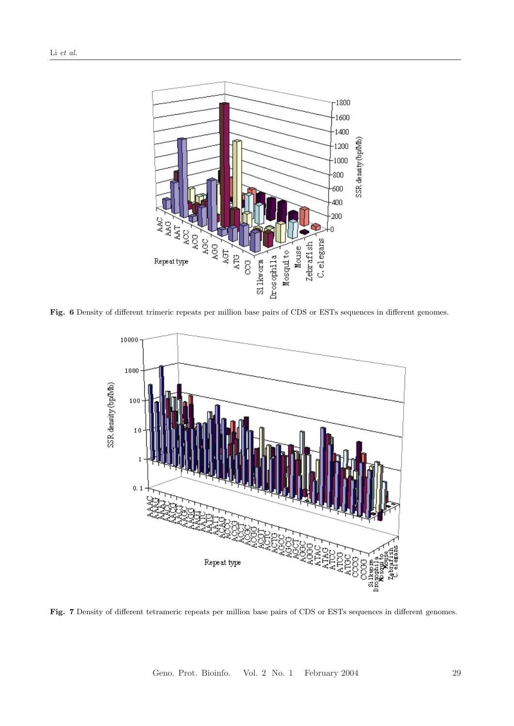

Fig. 6 Density of different trimeric repeats per million base pairs of CDS or ESTs sequences in different genomes.



Fig. 7 Density of different tetrameric repeats per million base pairs of CDS or ESTs sequences in different genomes.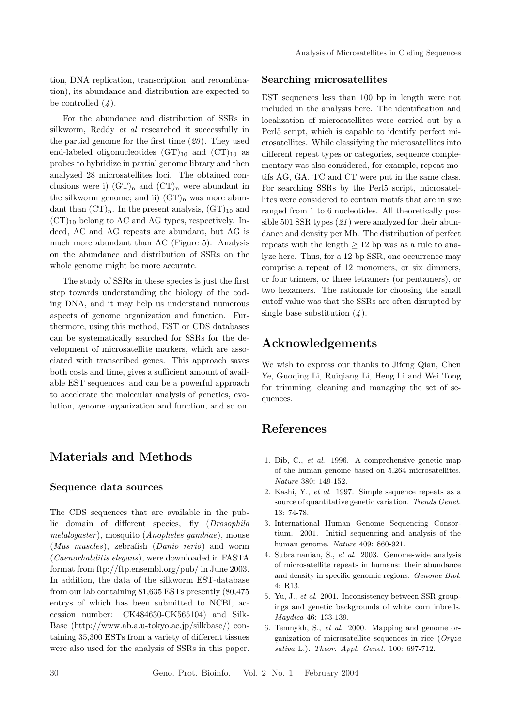tion, DNA replication, transcription, and recombination), its abundance and distribution are expected to be controlled  $(4)$ .

For the abundance and distribution of SSRs in silkworm, Reddy *et al* researched it successfully in the partial genome for the first time  $(20)$ . They used end-labeled oligonucleotides  $(GT)_{10}$  and  $(T)_{10}$  as probes to hybridize in partial genome library and then analyzed 28 microsatellites loci. The obtained conclusions were i)  $(GT)_n$  and  $(T)_n$  were abundant in the silkworm genome; and ii)  $(GT)_n$  was more abundant than  $(CT)<sub>n</sub>$ . In the present analysis,  $(GT)<sub>10</sub>$  and  $(CT)_{10}$  belong to AC and AG types, respectively. Indeed, AC and AG repeats are abundant, but AG is much more abundant than AC (Figure 5). Analysis on the abundance and distribution of SSRs on the whole genome might be more accurate.

The study of SSRs in these species is just the first step towards understanding the biology of the coding DNA, and it may help us understand numerous aspects of genome organization and function. Furthermore, using this method, EST or CDS databases can be systematically searched for SSRs for the development of microsatellite markers, which are associated with transcribed genes. This approach saves both costs and time, gives a sufficient amount of available EST sequences, and can be a powerful approach to accelerate the molecular analysis of genetics, evolution, genome organization and function, and so on.

# Materials and Methods

#### Sequence data sources

The CDS sequences that are available in the public domain of different species, fly (Drosophila melalogaster ), mosquito (Anopheles gambiae), mouse (Mus muscles), zebrafish (Danio rerio) and worm (Caenorhabditis elegans), were downloaded in FASTA format from ftp://ftp.ensembl.org/pub/ in June 2003. In addition, the data of the silkworm EST-database from our lab containing 81,635 ESTs presently (80,475 entrys of which has been submitted to NCBI, accession number: CK484630-CK565104) and Silk-Base (http://www.ab.a.u-tokyo.ac.jp/silkbase/) containing 35,300 ESTs from a variety of different tissues were also used for the analysis of SSRs in this paper.

#### Searching microsatellites

EST sequences less than 100 bp in length were not included in the analysis here. The identification and localization of microsatellites were carried out by a Perl5 script, which is capable to identify perfect microsatellites. While classifying the microsatellites into different repeat types or categories, sequence complementary was also considered, for example, repeat motifs AG, GA, TC and CT were put in the same class. For searching SSRs by the Perl5 script, microsatellites were considered to contain motifs that are in size ranged from 1 to 6 nucleotides. All theoretically possible 501 SSR types  $(21)$  were analyzed for their abundance and density per Mb. The distribution of perfect repeats with the length  $\geq 12$  bp was as a rule to analyze here. Thus, for a 12-bp SSR, one occurrence may comprise a repeat of 12 monomers, or six dimmers, or four trimers, or three tetramers (or pentamers), or two hexamers. The rationale for choosing the small cutoff value was that the SSRs are often disrupted by single base substitution  $(4)$ .

# Acknowledgements

We wish to express our thanks to Jifeng Qian, Chen Ye, Guoqing Li, Ruiqiang Li, Heng Li and Wei Tong for trimming, cleaning and managing the set of sequences.

### References

- 1. Dib, C., et al. 1996. A comprehensive genetic map of the human genome based on 5,264 microsatellites. Nature 380: 149-152.
- 2. Kashi, Y., et al. 1997. Simple sequence repeats as a source of quantitative genetic variation. Trends Genet. 13: 74-78.
- 3. International Human Genome Sequencing Consortium. 2001. Initial sequencing and analysis of the human genome. Nature 409: 860-921.
- 4. Subramanian, S., et al. 2003. Genome-wide analysis of microsatellite repeats in humans: their abundance and density in specific genomic regions. Genome Biol. 4: R13.
- 5. Yu, J., et al. 2001. Inconsistency between SSR groupings and genetic backgrounds of white corn inbreds. Maydica 46: 133-139.
- 6. Temnykh, S., et al. 2000. Mapping and genome organization of microsatellite sequences in rice (Oryza sativa L.). Theor. Appl. Genet. 100: 697-712.